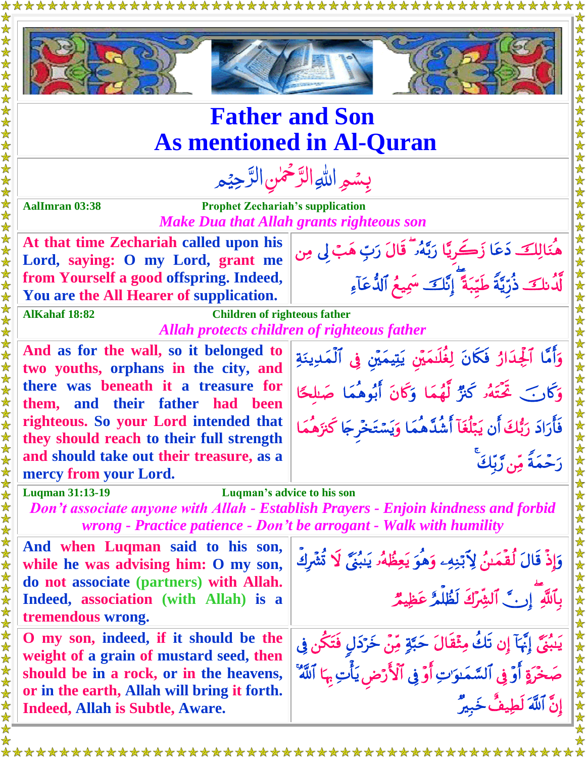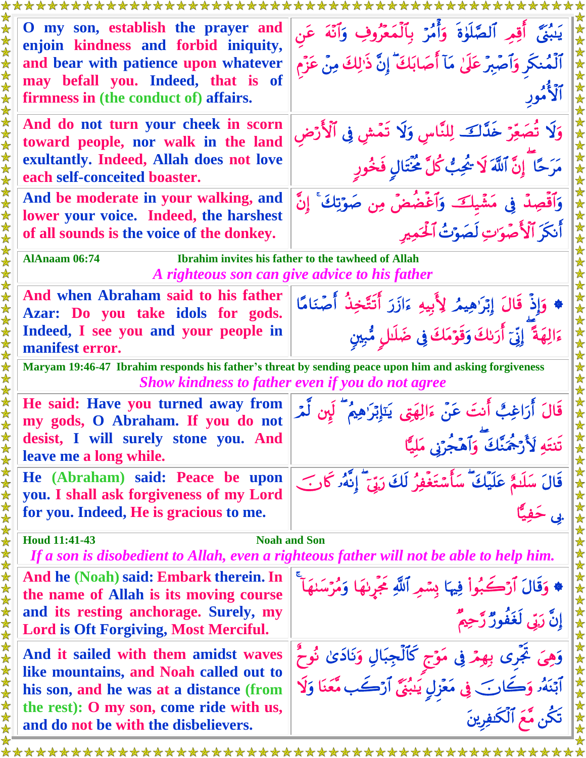| O my son, establish the prayer and<br>enjoin kindness and forbid iniquity,<br>and bear with patience upon whatever<br>may befall you. Indeed, that is of<br>firmness in (the conduct of) affairs.            | يَبْنَى ۖ أَقِمِ ٱلصَّلَوٰةَ ۚ وَأَمُرْ ۚ بِٱلْمَعْرُوفِ ۚ وَٱنَّهَ ۚ عَن<br>ٱلْمُنكَرِ وَٱصْبِرْ عَلَىٰ مَآ أَصَابَكَ ۖ إِنَّ ذَٰلِكَ مِنْ عَزْم               |
|--------------------------------------------------------------------------------------------------------------------------------------------------------------------------------------------------------------|-----------------------------------------------------------------------------------------------------------------------------------------------------------------|
| And do not turn your cheek in scorn<br>toward people, nor walk in the land<br>exultantly. Indeed, Allah does not love<br>each self-conceited boaster.                                                        | وَلَا تُصَعِّرْ خَدَّكَ لِلنَّاسِ وَلَا تَمْشِ فِي ٱلْأَرْضِ<br>مَرَحًا ۗ إِنَّ ٱللَّهَ لَا شُجِبٌ كُلَّ مُحْتَالٍ فَخُورٍ                                      |
| And be moderate in your walking, and<br>lower your voice. Indeed, the harshest<br>of all sounds is the voice of the donkey.                                                                                  | وَٱقْصِدْ فِي مَشْيِكَ وَٱغْضُضْ مِن صَوَّتِكَ ۚ إِنَّ<br>أَنكَرَ ٱلْأَصْوَاتِ لَصَوْتُ ٱلْحَمِيرِ                                                              |
| <b>AlAnaam 06:74</b><br>Ibrahim invites his father to the tawheed of Allah<br>A righteous son can give advice to his father                                                                                  |                                                                                                                                                                 |
| And when Abraham said to his father<br>Azar: Do you take idols for gods.<br>Indeed, I see you and your people in<br>manifest error.                                                                          | ♦ وَإِذْ قَالَ إِبْرَٰهِيمُ لِأَبِيهِ ءَازَرَ أَنَتَّخِذُ أَصْنَامًا<br>ءَالِهَةَ ۖ إِنِّيٓ أَرَىٰكَ وَقَوۡمَكَ فِي ضَلَالٍ مُّبِينٍ                            |
| Maryam 19:46-47 Ibrahim responds his father's threat by sending peace upon him and asking forgiveness                                                                                                        |                                                                                                                                                                 |
| <b>Show kindness to father even if you do not agree</b>                                                                                                                                                      |                                                                                                                                                                 |
| He said: Have you turned away from<br>my gods, O Abraham. If you do not<br>desist, I will surely stone you. And<br>leave me a long while.                                                                    | قَالَ أَرَاغِبٌ أَنتَ عَنْ ءَالِهَتِي يَنَإِبْرَٰهِيمُ<br>تَنتَهِ لَأَرْجُمَنَّكَ وَأَهْجُرَنِي مَلَيًّا                                                        |
| He (Abraham) said: Peace be upon<br>you. I shall ask forgiveness of my Lord<br>for you. Indeed, He is gracious to me.                                                                                        | قَالَ سَلَيمٌ عَلَيْكَ ۖ سَأَسْتَغْفِرُ لَكَ رَبِّيٓ ۖ إِنَّهُۥ كَانَ                                                                                           |
| <b>Houd 11:41-43</b><br><b>Noah and Son</b>                                                                                                                                                                  |                                                                                                                                                                 |
| If a son is disobedient to Allah, even a righteous father will not be able to help him.                                                                                                                      |                                                                                                                                                                 |
| And he (Noah) said: Embark therein. In<br>the name of Allah is its moving course<br>and its resting anchorage. Surely, my<br>Lord is Oft Forgiving, Most Merciful.                                           | * وَقَالَ ٱرْكَبُواْ فِيهَا بِسْمِرِ ٱللَّهِ عَجْرِنهَا وَمُرْسَنهَآ<br>إِنَّ رَبِّي لَغَفُورٌ رَّحِيمٌ                                                         |
| And it sailed with them amidst waves<br>like mountains, and Noah called out to<br>his son, and he was at a distance (from<br>the rest): O my son, come ride with us,<br>and do not be with the disbelievers. | وَهِيَ تَجَّرِى بِهِمْ فِي مَوْجِ كَٱلْجِبَالِ وَنَادَىٰ نُوحٌ<br>ٱبۡنَهُۥ وَكَانَ فِي مَعۡزِلٍ يَـٰبُنَّ ٱرۡكَـٰب مَّعَنَا وَلَا<br>تَكُّن مَّعَ ٱلْكَنفِرِينَ |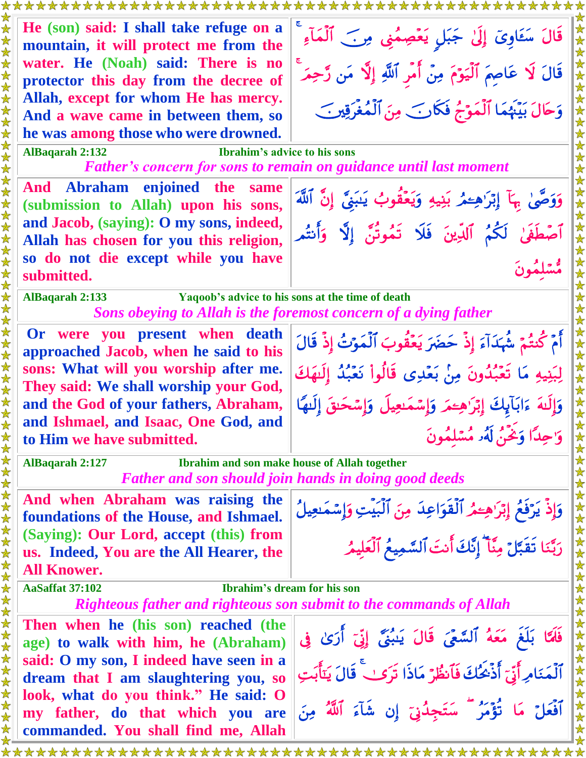**He (son) said: I shall take refuge on a**  قَالَ سَعَاوِيٌّ إِلَّىٰ جَبَلٍ يَعْصِمُنِي مِرْبَ ٱلْمَآءِ **mountain, it will protect me from the water. He (Noah) said: There is no**  قَالَ لَا عَاصِمَ ٱلْيَوْمَ مِنْ أَمِرِ ٱللَّهِ إِلَّا مَن رَّحِمَهِ **protector this day from the decree of Allah, except for whom He has mercy.** وَحَالَ بَيْنَهُمَا ٱلْمَوْجُ فَكَارَبَ مِنَ ٱلْمُغْرَقِينَ ۖ **And a wave came in between them, so he was among those who were drowned. AlBaqarah 2:132 Ibrahim's advice to his sons** *Father's concern for sons to remain on guidance until last moment* **And Abraham enjoined the same**  وَوَصَّىٰ بِهَآ إِبۡرَاهِءۡمُرۡ بَنِيهِ وَيَعۡقُوبُ يَبَنِيُّ إِنَّ ٱللَّهَ **(submission to Allah) upon his sons, and Jacob, (saying): O my sons, indeed,** أَصَّطِفِي لَكُمُ ٱلْدِينَ فَلَا تَمُوتَنَّ إِلَّا وَأَنتُم **Allah has chosen for you this religion, so do not die except while you have**  مُسْلَمُونَ **submitted. AlBaqarah 2:133 Yaqoob's advice to his sons at the time of death** *Sons obeying to Allah is the foremost concern of a dying father* **Or were you present when death**  أَمَّ كَنتُمَّ شَهَدَآءَ إِذْ حَضَرَ يَعۡقُوبَ ٱلۡمَوۡتُ إِذْ قَالَ **approached Jacob, when he said to his sons: What will you worship after me.**  لِبَنِيهِ مَا تَعْبُدُونَ مِنْ بَعْدِي قَالُواْ نَعْبُدُ إِلَيْهَكَ **They said: We shall worship your God, and the God of your fathers, Abraham,**  وَإِلَيْهَ ءَابَآيِكَ إِبْرَ ٰهِجَمَرٍ وَإِسْمَٰبِعِيلَ وَإِسْحَبِقَ إِلَيْهَا **and Ishmael, and Isaac, One God, and** وَ'حِدًّا وَيَحْنُ لَهُ૰ مُسْلَمُونَ **to Him we have submitted. AlBaqarah 2:127 Ibrahim and son make house of Allah together** *Father and son should join hands in doing good deeds* **And when Abraham was raising the** وَإِذْ يَرْفَعُ إِبْرَ'هِءَمُرِ ٱلْقُوَاعِدَ مِنَ ٱلْبَيْتِ وَإِسْمَٰعِيلُ **foundations of the House, and Ishmael. (Saying): Our Lord, accept (this) from**  رَبَّنَا تَقَبَّلَ مِنَّآ إِنَّكَ أَنتَ السَّمِيعُ الْعَلَيْمُ **us. Indeed, You are the All Hearer, the All Knower. AaSaffat 37:102 Ibrahim's dream for his son** *Righteous father and righteous son submit to the commands of Allah* **Then when he (his son) reached (the**  فَلَمَّا بَلَّغَ مَعَهُ ٱلسَّعَىَ قَالَ يَبْبُنَّيَّ إِذْ ٓ أَرَىٰ فِي **age) to walk with him, he (Abraham) said: O my son, I indeed have seen in a**  ٱلْمَنَامِرِأَنِّيّ أَدْحُلُكَ فَأَنْظُرٌ مَاذَا تَرَكَبُ قَالَ يَتَأْبَتِ **dream that I am slaughtering you, so look, what do you think." He said: O**  آفَعَلَّ مَا تَؤْمَرُ ۖ سَتَجِدُنِّيَ إِن شَآءَ ٱللَّهُ مِنَ **my father, do that which you are commanded. You shall find me, Allah**